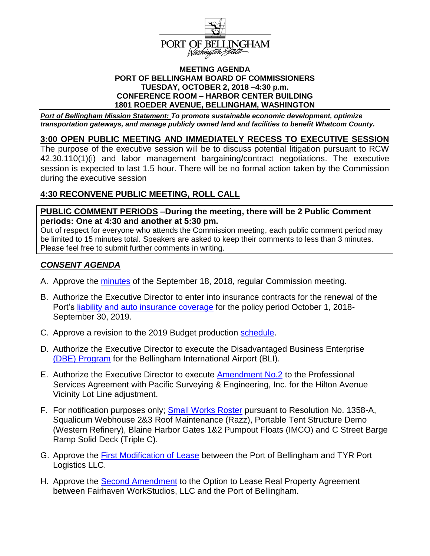

#### **MEETING AGENDA PORT OF BELLINGHAM BOARD OF COMMISSIONERS TUESDAY, OCTOBER 2, 2018 –4:30 p.m. CONFERENCE ROOM – HARBOR CENTER BUILDING 1801 ROEDER AVENUE, BELLINGHAM, WASHINGTON**

*Port of Bellingham Mission Statement: To promote sustainable economic development, optimize transportation gateways, and manage publicly owned land and facilities to benefit Whatcom County.*

### **3:00 OPEN PUBLIC MEETING AND IMMEDIATELY RECESS TO EXECUTIVE SESSION**

The purpose of the executive session will be to discuss potential litigation pursuant to RCW 42.30.110(1)(i) and labor management bargaining/contract negotiations. The executive session is expected to last 1.5 hour. There will be no formal action taken by the Commission during the executive session

# **4:30 RECONVENE PUBLIC MEETING, ROLL CALL**

**PUBLIC COMMENT PERIODS –During the meeting, there will be 2 Public Comment periods: One at 4:30 and another at 5:30 pm.**

Out of respect for everyone who attends the Commission meeting, each public comment period may be limited to 15 minutes total. Speakers are asked to keep their comments to less than 3 minutes. Please feel free to submit further comments in writing.

## *CONSENT AGENDA*

- A. Approve the [minutes](https://www.portofbellingham.com/DocumentCenter/View/7883/CA-item-A) of the September 18, 2018, regular Commission meeting.
- B. Authorize the Executive Director to enter into insurance contracts for the renewal of the Port's [liability and auto insurance coverage](https://www.portofbellingham.com/DocumentCenter/View/7884/CA-item-B) for the policy period October 1, 2018- September 30, 2019.
- C. Approve a revision to the 2019 Budget production [schedule.](https://www.portofbellingham.com/DocumentCenter/View/7885/CA-item-C)
- D. Authorize the Executive Director to execute the Disadvantaged Business Enterprise (DBE) [Program](https://www.portofbellingham.com/DocumentCenter/View/7886/CA-item-D) for the Bellingham International Airport (BLI).
- E. Authorize the Executive Director to execute [Amendment](https://www.portofbellingham.com/DocumentCenter/View/7887/CA-item-E) No.2 to the Professional Services Agreement with Pacific Surveying & Engineering, Inc. for the Hilton Avenue Vicinity Lot Line adjustment.
- F. For notification purposes only; [Small Works Roster](https://www.portofbellingham.com/DocumentCenter/View/7888/CA-item-F) pursuant to Resolution No. 1358-A, Squalicum Webhouse 2&3 Roof Maintenance (Razz), Portable Tent Structure Demo (Western Refinery), Blaine Harbor Gates 1&2 Pumpout Floats (IMCO) and C Street Barge Ramp Solid Deck (Triple C).
- G. Approve the [First Modification of Lease](https://www.portofbellingham.com/DocumentCenter/View/7889/CA-item-G) between the Port of Bellingham and TYR Port Logistics LLC.
- H. Approve the Second [Amendment](https://www.portofbellingham.com/DocumentCenter/View/7890/CA-item-H) to the Option to Lease Real Property Agreement between Fairhaven WorkStudios, LLC and the Port of Bellingham.